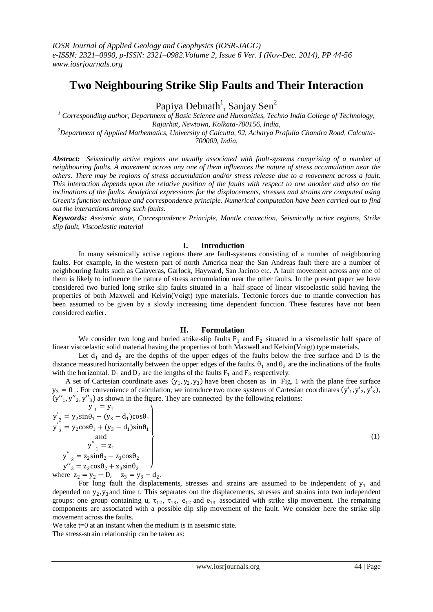# **Two Neighbouring Strike Slip Faults and Their Interaction**

Papiya Debnath<sup>1</sup>, Sanjay Sen<sup>2</sup>

<sup>1</sup> *Corresponding author, Department of Basic Science and Humanities, Techno India College of Technology, Rajarhat, Newtown, Kolkata-700156, India, <sup>2</sup>Department of Applied Mathematics, University of Calcutta, 92, Acharya Prafulla Chandra Road, Calcutta-*

*700009, India,*

*Abstract: Seismically active regions are usually associated with fault-systems comprising of a number of neighbouring faults. A movement across any one of them influences the nature of stress accumulation near the others. There may be regions of stress accumulation and/or stress release due to a movement across a fault. This interaction depends upon the relative position of the faults with respect to one another and also on the inclinations of the faults. Analytical expressions for the displacements, stresses and strains are computed using Green's function technique and correspondence principle. Numerical computation have been carried out to find out the interactions among such faults.*

*Keywords: Aseismic state, Correspondence Principle, Mantle convection, Seismically active regions, Strike slip fault, Viscoelastic material*

# **I. Introduction**

In many seismically active regions there are fault-systems consisting of a number of neighbouring faults. For example, in the western part of north America near the San Andreas fault there are a number of neighbouring faults such as Calaveras, Garlock, Hayward, San Jacinto etc. A fault movement across any one of them is likely to influence the nature of stress accumulation near the other faults. In the present paper we have considered two buried long strike slip faults situated in a half space of linear viscoelastic solid having the properties of both Maxwell and Kelvin(Voigt) type materials. Tectonic forces due to mantle convection has been assumed to be given by a slowly increasing time dependent function. These features have not been considered earlier.

# **II. Formulation**

We consider two long and buried strike-slip faults  $F_1$  and  $F_2$  situated in a viscoelastic half space of linear viscoelastic solid material having the properties of both Maxwell and Kelvin(Voigt) type materials.

Let  $d_1$  and  $d_2$  are the depths of the upper edges of the faults below the free surface and D is the distance measured horizontally between the upper edges of the faults.  $\theta_1$  and  $\theta_2$  are the inclinations of the faults with the horizontal.  $D_1$  and  $D_2$  are the lengths of the faults  $F_1$  and  $F_2$  respectively.

A set of Cartesian coordinate axes  $(y_1, y_2, y_3)$  have been chosen as in Fig. 1 with the plane free surface  $y_3 = 0$ . For convenience of calculation, we introduce two more systems of Cartesian coordinates  $(y'_1, y'_2, y'_3)$ ,  $(y''_1, y''_2, y''_3)$  as shown in the figure. They are connected by the following relations:

$$
y'_{1} = y_{1}
$$
  
\n
$$
y'_{2} = y_{2} \sin \theta_{1} - (y_{3} - d_{1}) \cos \theta_{1}
$$
  
\n
$$
y'_{3} = y_{2} \cos \theta_{1} + (y_{3} - d_{1}) \sin \theta_{1}
$$
  
\nand  
\n
$$
y''_{1} = z_{1}
$$
  
\n
$$
y''_{2} = z_{2} \sin \theta_{2} - z_{3} \cos \theta_{2}
$$
  
\n
$$
y''_{3} = z_{2} \cos \theta_{2} + z_{3} \sin \theta_{2}
$$
  
\nwhere  $z_{2} = y_{2} - D$ ,  $z_{3} = y_{3} - d_{3}$ 

where  $z_2 = y_2 - D$ ,  $z_3 = y_3 - d_2$ .

For long fault the displacements, stresses and strains are assumed to be independent of  $y_1$  and depended on  $y_2$ ,  $y_3$  and time t. This separates out the displacements, stresses and strains into two independent groups: one group containing u,  $\tau_{12}$ ,  $\tau_{13}$ ,  $e_{12}$  and  $e_{13}$  associated with strike slip movement. The remaining components are associated with a possible dip slip movement of the fault. We consider here the strike slip movement across the faults.

We take t=0 at an instant when the medium is in aseismic state. The stress-strain relationship can be taken as: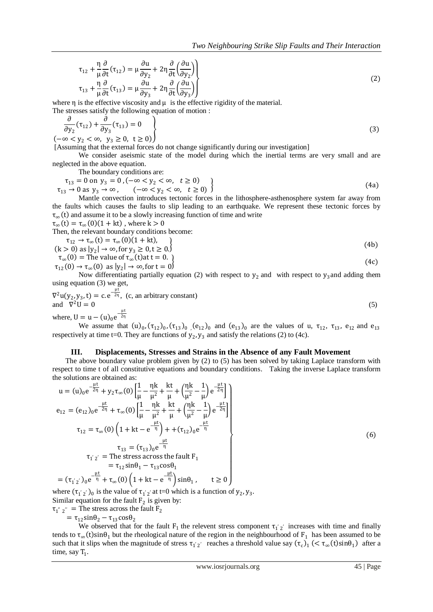$$
\tau_{12} + \frac{\eta}{\mu} \frac{\partial}{\partial t} (\tau_{12}) = \mu \frac{\partial u}{\partial y_2} + 2\eta \frac{\partial}{\partial t} \left( \frac{\partial u}{\partial y_2} \right) \n\tau_{13} + \frac{\eta}{\mu} \frac{\partial}{\partial t} (\tau_{13}) = \mu \frac{\partial u}{\partial y_3} + 2\eta \frac{\partial}{\partial t} \left( \frac{\partial u}{\partial y_3} \right)
$$
\n(2)

where  $\eta$  is the effective viscosity and  $\mu$  is the effective rigidity of the material.

The stresses satisfy the following equation of motion :

$$
\frac{\partial}{\partial y_2}(\tau_{12}) + \frac{\partial}{\partial y_3}(\tau_{13}) = 0
$$
\n
$$
(-\infty < y_2 < \infty, y_3 \ge 0, t \ge 0)
$$
\n(3)

[Assuming that the external forces do not change significantly during our investigation]

We consider aseismic state of the model during which the inertial terms are very small and are neglected in the above equation.

The boundary conditions are:

$$
\tau_{13} = 0 \text{ on } y_3 = 0, (-\infty < y_2 < \infty, t \ge 0) \tau_{13} \to 0 \text{ as } y_3 \to \infty, (-\infty < y_2 < \infty, t \ge 0)
$$
\n(4a)

Mantle convection introduces tectonic forces in the lithosphere-asthenosphere system far away from the faults which causes the faults to slip leading to an earthquake. We represent these tectonic forces by  $\tau_{\infty}(t)$  and assume it to be a slowly increasing function of time and write

 $\tau_{\infty}(t) = \tau_{\infty}(0)(1 + kt)$ , where  $k > 0$ Then, the relevant boundary conditions become:

$$
\tau_{12} \rightarrow \tau_{\infty}(t) = \tau_{\infty}(0)(1 + kt),
$$
\n
$$
(k > 0) \text{ as } |y_2| \rightarrow \infty, \text{ for } y_3 \ge 0, t \ge 0.
$$
\n
$$
\tau_{\infty}(0) = \text{The value of } \tau_{\infty}(t) \text{ at } t = 0.
$$
\n
$$
\tau_{12}(0) \rightarrow \tau_{\infty}(0) \text{ as } |y_2| \rightarrow \infty, \text{ for } t = 0
$$
\n
$$
(4c)
$$

Now differentiating partially equation (2) with respect to  $y_2$  and with respect to  $y_3$  and adding them using equation (3) we get,

$$
\nabla^2 u(y_2, y_3, t) = c \cdot e^{-\frac{\mu t}{2\eta}}, \quad (c, \text{ an arbitrary constant})
$$
  
and 
$$
\nabla^2 U = 0
$$
  
where, 
$$
U = u - (u)_0 e^{-\frac{\mu t}{2\eta}}
$$
 (5)

We assume that  $(u)_0$ ,  $(\tau_{12})_0$ ,  $(\tau_{13})_0$ ,  $(e_{12})_0$  and  $(e_{13})_0$  are the values of u,  $\tau_{12}$ ,  $\tau_{13}$ ,  $e_{12}$  and  $e_{13}$ respectively at time t=0. They are functions of  $y_2$ ,  $y_3$  and satisfy the relations (2) to (4c).

#### **III. Displacements, Stresses and Strains in the Absence of any Fault Movement**

The above boundary value problem given by (2) to (5) has been solved by taking Laplace transform with respect to time t of all constitutive equations and boundary conditions. Taking the inverse Laplace transform the solutions are obtained as:

$$
u = (u)_0 e^{-\frac{\mu t}{2\eta}} + y_2 \tau_{\infty}(0) \left[ \frac{1}{\mu} - \frac{\eta k}{\mu^2} + \frac{kt}{\mu} + \left( \frac{\eta k}{\mu^2} - \frac{1}{\mu} \right) e^{-\frac{\mu t}{2\eta}} \right]
$$
  
\n
$$
e_{12} = (e_{12})_0 e^{-\frac{\mu t}{2\eta}} + \tau_{\infty}(0) \left[ \frac{1}{\mu} - \frac{\eta k}{\mu^2} + \frac{kt}{\mu} + \left( \frac{\eta k}{\mu^2} - \frac{1}{\mu} \right) e^{-\frac{\mu t}{2\eta}} \right]
$$
  
\n
$$
\tau_{12} = \tau_{\infty}(0) \left( 1 + kt - e^{-\frac{\mu t}{\eta}} \right) + + (\tau_{12})_0 e^{-\frac{\mu t}{\eta}}
$$
  
\n
$$
\tau_{12} = (\tau_{13})_0 e^{-\frac{\mu t}{\eta}}
$$
  
\n
$$
\tau_{12} = \text{The stress across the fault F}_1
$$
  
\n
$$
= \tau_{12} \sin \theta_1 - \tau_{13} \cos \theta_1
$$
  
\n
$$
= (\tau_{12})_0 e^{-\frac{\mu t}{\eta}} + \tau_{\infty}(0) \left( 1 + kt - e^{-\frac{\mu t}{\eta}} \right) \sin \theta_1, \qquad t \ge 0
$$

where  $(\tau_1'_{2'})_0$  is the value of  $\tau_1'_{2'}$  at t=0 which is a function of  $y_2, y_3$ . Similar equation for the fault  $F_2$  is given by:

$$
\tau_1
$$
"  $z$ " = The stress across the fault F<sub>2</sub>

 $=$   $\tau_{12}$ sin $\theta_2$  –  $\tau_{13}$ cos $\theta_2$ 

We observed that for the fault  $F_1$  the relevent stress component  $\tau_1$ ' increases with time and finally tends to  $\tau_\infty$ (t)sin $\theta_1$  but the rheological nature of the region in the neighbourhood of F<sub>1</sub> has been assumed to be such that it slips when the magnitude of stress  $\tau_{1'2'}$  reaches a threshold value say  $(\tau_c)_1$  ( $\tau_{\infty}(t)$ sin $\theta_1$ ) after a time, say  $T_1$ .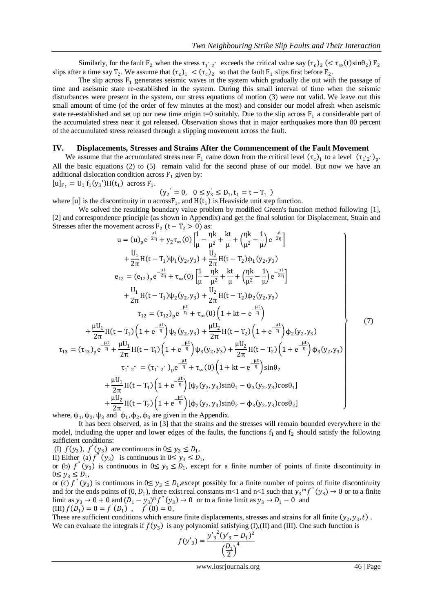Similarly, for the fault  $F_2$  when the stress  $\tau_1''$   $_2''$  exceeds the critical value say  $(\tau_c)_2$  (<  $\tau_\infty(t)$ sin $\theta_2$ )  $F_2$ slips after a time say  $T_2$ . We assume that  $(\tau_c)_1 < (\tau_c)_2$  so that the fault  $F_1$  slips first before  $F_2$ .

The slip across  $F_1$  generates seismic waves in the system which gradually die out with the passage of time and aseismic state re-established in the system. During this small interval of time when the seismic disturbances were present in the system, our stress equations of motion (3) were not valid. We leave out this small amount of time (of the order of few minutes at the most) and consider our model afresh when aseismic state re-established and set up our new time origin t=0 suitably. Due to the slip across  $F_1$  a considerable part of the accumulated stress near it got released. Observation shows that in major earthquakes more than 80 percent of the accumulated stress released through a slipping movement across the fault.

## **IV. Displacements, Stresses and Strains After the Commencement of the Fault Movement**

We assume that the accumulated stress near  $F_1$  came down from the critical level  $(\tau_c)_1$  to a level  $(\tau_1 i_2')_p$ . All the basic equations (2) to (5) remain valid for the second phase of our model. But now we have an additional dislocation condition across  $F_1$  given by:  $\lceil u \rceil$ 

$$
[u]_{F_1} = U_1 f_1(y_3')H(t_1)
$$
 across  $F_1$ .

$$
(y_2' = 0, \ 0 \le y_3' \le D_1, t_1 = t - T_1)
$$

where [u] is the discontinuity in u across  $F_1$ , and  $H(t_1)$  is Heaviside unit step function.

We solved the resulting boundary value problem by modified Green's function method following [1], [2] and correspondence principle (as shown in Appendix) and get the final solution for Displacement, Strain and Stresses after the movement across  $F_2$  (t –  $T_2 > 0$ ) as:

$$
u = (u)_{p} e^{-\frac{\mu t}{2\eta}} + y_{2}\tau_{\infty}(0) \left[ \frac{1}{\mu} - \frac{\eta k}{\mu^{2}} + \frac{kt}{\mu} + (\frac{\eta k}{\mu^{2}} - \frac{1}{\mu}) e^{-\frac{\mu t}{2\eta}} \right]
$$
  
\n
$$
+ \frac{U_{1}}{2\pi}H(t - T_{1})\psi_{1}(y_{2}, y_{3}) + \frac{U_{2}}{2\pi}H(t - T_{2})\phi_{1}(y_{2}, y_{3})
$$
  
\n
$$
e_{12} = (e_{12})_{p} e^{-\frac{\mu t}{2\eta}} + \tau_{\infty}(0) \left[ \frac{1}{\mu} - \frac{\eta k}{\mu^{2}} + \frac{kt}{\mu} + (\frac{\eta k}{\mu^{2}} - \frac{1}{\mu}) e^{-\frac{\mu t}{2\eta}} \right]
$$
  
\n
$$
+ \frac{U_{1}}{2\pi}H(t - T_{1})\psi_{2}(y_{2}, y_{3}) + \frac{U_{2}}{2\pi}H(t - T_{2})\phi_{2}(y_{2}, y_{3})
$$
  
\n
$$
\tau_{12} = (\tau_{12})_{p} e^{-\frac{\mu t}{\eta}} + \tau_{\infty}(0) \left( 1 + kt - e^{-\frac{\mu t}{\eta}} \right)
$$
  
\n
$$
+ \frac{\mu U_{1}}{2\pi}H(t - T_{1}) \left( 1 + e^{-\frac{\mu t}{\eta}} \right) \psi_{2}(y_{2}, y_{3}) + \frac{\mu U_{2}}{2\pi}H(t - T_{2}) \left( 1 + e^{-\frac{\mu t}{\eta}} \right) \phi_{2}(y_{2}, y_{3})
$$
  
\n
$$
\tau_{13} = (\tau_{13})_{p} e^{-\frac{\mu t}{\eta}} + \frac{\mu U_{1}}{2\pi}H(t - T_{1}) \left( 1 + e^{-\frac{\mu t}{\eta}} \right) \psi_{3}(y_{2}, y_{3}) + \frac{\mu U_{2}}{2\pi}H(t - T_{2}) \left( 1 + e^{-\frac{\mu t}{\eta}} \right) \phi_{3}(y_{2}, y_{3})
$$
  
\n
$$
+ \frac{\mu U_{1}}{2\pi}H(t - T_{1}) \left( 1 + e^{-\frac{\mu t}{\eta}} \right
$$

where,  $\psi_1$ ,  $\psi_2$ ,  $\psi_3$  and  $\phi_1$ ,  $\phi_2$ ,  $\phi_3$  are given in the Appendix.

It has been observed, as in [3] that the strains and the stresses will remain bounded everywhere in the model, including the upper and lower edges of the faults, the functions  $f_1$  and  $f_2$  should satisfy the following sufficient conditions:

(I)  $f(y_3)$ ,  $f'(y_3)$  are continuous in  $0 \le y_3 \le D_1$ ,

II) Either (a)  $f''(y_3)$  is continuous in  $0 \le y_3 \le D_1$ ,

or (b)  $f''(y_3)$  is continuous in  $0 \le y_3 \le D_1$ , except for a finite number of points of finite discontinuity in  $0 \le y_3 \le D_1$ 

or (c)  $f''(y_3)$  is continuous in  $0 \le y_3 \le D_1$ , except possibly for a finite number of points of finite discontinuity and for the ends points of  $(0, D_1)$ , there exist real constants m<1 and n<1 such that  $y_3^m f''(y_3) \to 0$  or to a finite limit as  $y_3 \to 0 + 0$  and  $(D_1 - y_3)^n f''(y_3) \to 0$  or to a finite limit as  $y_3 \to D_1 - 0$  and (III)  $f(D_1) = 0 = f'(D_1)$ ,  $f'(0) = 0$ ,

These are sufficient conditions which ensure finite displacements, stresses and strains for all finite  $(y_2, y_3, t)$ . We can evaluate the integrals if  $f(y_3)$  is any polynomial satisfying (I),(II) and (III). One such function is

$$
f(y'_3) = \frac{{y'_3}^2 (y'_3 - D_1)^2}{\left(\frac{D_1}{2}\right)^4}
$$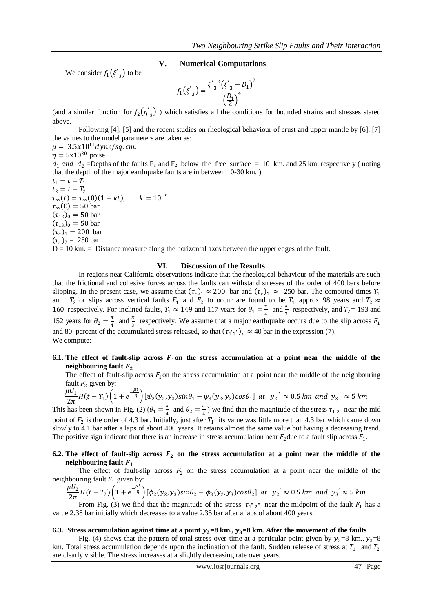# **V. Numerical Computations**

We consider  $f_1(\xi'_3)$  to be

$$
f_1(\xi'_{3}) = \frac{{\xi'}_{3}^{2}({\xi'}_{3} - D_1)^2}{\left(\frac{D_1}{2}\right)^4}
$$

(and a similar function for  $f_2(\eta'_3)$ ) which satisfies all the conditions for bounded strains and stresses stated above.

Following [4], [5] and the recent studies on rheological behaviour of crust and upper mantle by [6], [7] the values to the model parameters are taken as:

 $\mu = 3.5x10^{11} dyne/sq.cm.$ 

 $n = 5x10^{20}$  poise

 $d_1$  and  $d_2$  =Depths of the faults F<sub>1</sub> and F<sub>2</sub> below the free surface = 10 km. and 25 km. respectively (noting that the depth of the major earthquake faults are in between 10-30 km. )

 $t_1 = t - T_1$  $t_2 = t - T_2$  $\tau_{\infty}(t) = \tau_{\infty}(0)(1+kt), \quad k = 10^{-9}$  $\tau_{\infty}(0) = 50$  bar  $(\tau_{12})_0 = 50$  bar  $(\tau_{13})_0 = 50$  bar  $(\tau_c)_1 = 200$  bar  $(\tau_c)_{2} = 250 \text{ bar}$ 

 $D = 10$  km.  $=$  Distance measure along the horizontal axes between the upper edges of the fault.

## **VI. Discussion of the Results**

In regions near California observations indicate that the rheological behaviour of the materials are such that the frictional and cohesive forces across the faults can withstand stresses of the order of 400 bars before slipping. In the present case, we assume that  $(\tau_c)_1 \approx 200$  bar and  $(\tau_c)_2 \approx 250$  bar. The computed times  $T_1$ and  $T_2$  for slips across vertical faults  $F_1$  and  $F_2$  to occur are found to be  $T_1$  approx 98 years and  $T_2 \approx$ 160 respectively. For inclined faults,  $T_1 \approx 149$  and 117 years for  $\theta_1 = \frac{\pi}{4}$  $\frac{\pi}{4}$  and  $\frac{\pi}{3}$  respectively, and  $T_2$  = 193 and 152 years for  $\theta_2 = \frac{\pi}{4}$  $\frac{\pi}{4}$  and  $\frac{\pi}{3}$  respectively. We assume that a major earthquake occurs due to the slip across  $F_1$ and 80 percent of the accumulated stress released, so that  $(\tau_1 z')_p \approx 40$  bar in the expression (7). We compute:

# **6.1.** The effect of fault-slip across  $F_1$ on the stress accumulation at a point near the middle of the **neighbouring fault**

The effect of fault-slip across  $F_1$  on the stress accumulation at a point near the middle of the neighbouring fault  $F_2$  given by:

$$
\frac{\mu U_1}{2\pi}H(t - T_1)\left(1 + e^{-\frac{\mu t}{\eta}}\right)[\psi_2(y_2, y_3)sin\theta_1 - \psi_3(y_2, y_3)cos\theta_1] \text{ at } y_2'' \approx 0.5 \text{ km and } y_3'' \approx 5 \text{ km}
$$

This has been shown in Fig. (2) ( $\theta_1 = \frac{\pi}{4}$  $\frac{\pi}{4}$  and  $\theta_2 = \frac{\pi}{4}$  $\frac{\pi}{4}$ ) we find that the magnitude of the stress  $\tau_1$ '<sub>2</sub>' near the mid point of  $F_2$  is the order of 4.3 bar. Initially, just after  $T_1$  its value was little more than 4.3 bar which came down slowly to 4.1 bar after a laps of about 400 years. It retains almost the same value but having a decreasing trend. The positive sign indicate that there is an increase in stress accumulation near  $F_2$  due to a fault slip across  $F_1$ .

# **6.2.** The effect of fault-slip across  $F_2$  on the stress accumulation at a point near the middle of the **neighbouring fault**

The effect of fault-slip across  $F_2$  on the stress accumulation at a point near the middle of the neighbouring fault  $F_1$  given by:

$$
\frac{\mu U_2}{2\pi} H(t - T_2) \left( 1 + e^{-\frac{\mu t}{\eta}} \right) [\phi_2(y_2, y_3) sin\theta_2 - \phi_3(y_2, y_3) cos\theta_2] \text{ at } y_2' \approx 0.5 \text{ km and } y_3' \approx 5 \text{ km}
$$

From Fig. (3) we find that the magnitude of the stress  $\tau_1$ "  $\tau_2$ " near the midpoint of the fault  $F_1$  has a value 2.38 bar initially which decreases to a value 2.35 bar after a laps of about 400 years.

#### **6.3.** Stress accumulation against time at a point  $y_2=8$  km.,  $y_3=8$  km. After the movement of the faults

Fig. (4) shows that the pattern of total stress over time at a particular point given by  $y_2=8$  km.,  $y_3=8$ km. Total stress accumulation depends upon the inclination of the fault. Sudden release of stress at  $T_1$  and  $T_2$ are clearly visible. The stress increases at a slightly decreasing rate over years.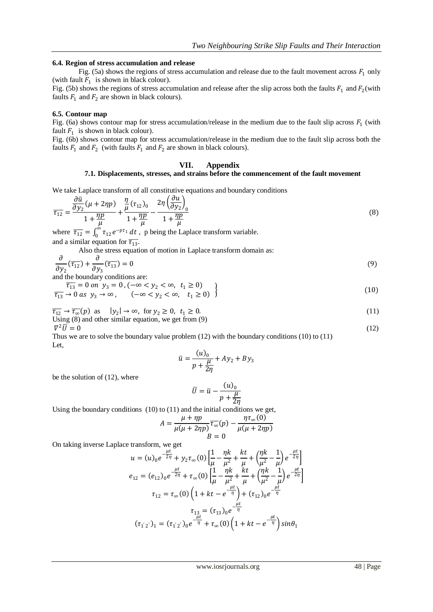# **6.4. Region of stress accumulation and release**

Fig. (5a) shows the regions of stress accumulation and release due to the fault movement across  $F_1$  only (with fault  $F_1$  is shown in black colour).

Fig. (5b) shows the regions of stress accumulation and release after the slip across both the faults  $F_1$  and  $F_2$ (with faults  $F_1$  and  $F_2$  are shown in black colours).

### **6.5. Contour map**

Fig. (6a) shows contour map for stress accumulation/release in the medium due to the fault slip across  $F_1$  (with fault  $F_1$  is shown in black colour).

Fig. (6b) shows contour map for stress accumulation/release in the medium due to the fault slip across both the faults  $F_1$  and  $F_2$  (with faults  $F_1$  and  $F_2$  are shown in black colours).

## **VII. Appendix**

# **7.1. Displacements, stresses, and strains before the commencement of the fault movement**

We take Laplace transform of all constitutive equations and boundary conditions  $(2u)$ 

$$
\overline{\tau_{12}} = \frac{\frac{\partial \overline{u}}{\partial y_2}(\mu + 2\eta p)}{1 + \frac{\eta p}{\mu}} + \frac{\frac{\eta}{\mu}(\tau_{12})_0}{1 + \frac{\eta p}{\mu}} - \frac{2\eta \left(\frac{\partial u}{\partial y_2}\right)_0}{1 + \frac{\eta p}{\mu}}
$$
(8)

where  $\overline{\tau_{12}} = \int_0^{\infty} \tau_{12} e^{-pt_1}$  $\int_{0}^{\infty} \tau_{12} e^{-pt_1} dt$ , p being the Laplace transform variable. and a similar equation for  $\overline{\tau_{13}}$ .

Also the stress equation of motion in Laplace transform domain as:

$$
\frac{\partial}{\partial y_2}(\overline{\tau_{12}}) + \frac{\partial}{\partial y_3}(\overline{\tau_{13}}) = 0
$$
\n(9)

and the boundary conditions are:

 $\overline{\tau_{13}} = 0$  on  $y_3 = 0$  ,  $(-\infty < y_2 < \infty, t_1 \ge 0)$  $\overline{\tau_{13}} \to 0$  as  $y_3 \to \infty$ ,  $(-\infty < y_2 < \infty, t_1 \ge 0)$  $(10)$ 

$$
\overline{\tau_{12}} \to \overline{\tau_{\infty}}(p) \text{ as } |y_2| \to \infty, \text{ for } y_2 \ge 0, t_1 \ge 0.
$$
  
Using (8) and other similar equation, we get from (9) (11)

 $\nabla^2 \vec{U} = 0$  $^{2}\overline{U} = 0$  (12)

Thus we are to solve the boundary value problem (12) with the boundary conditions (10) to (11) Let,

$$
\bar{u} = \frac{(u)_0}{p + \frac{\mu}{2\eta}} + Ay_2 + By_3
$$

be the solution of (12), where

$$
\overline{U} = \overline{u} - \frac{(u)_0}{p + \frac{\mu}{2\eta}}
$$

Using the boundary conditions (10) to (11) and the initial conditions we get,

$$
A = \frac{\mu + \eta p}{\mu(\mu + 2\eta p)} \overline{\tau_{\infty}}(p) - \frac{\eta \tau_{\infty}(0)}{\mu(\mu + 2\eta p)}
$$

$$
B = 0
$$

On taking inverse Laplace transform, we get

$$
u = (u)_0 e^{-\frac{\mu t}{2\eta}} + y_2 \tau_{\infty}(0) \left[ \frac{1}{\mu} - \frac{\eta k}{\mu^2} + \frac{kt}{\mu} + \left( \frac{\eta k}{\mu^2} - \frac{1}{\mu} \right) e^{-\frac{\mu t}{2\eta}} \right]
$$
  
\n
$$
e_{12} = (e_{12})_0 e^{-\frac{\mu t}{2\eta}} + \tau_{\infty}(0) \left[ \frac{1}{\mu} - \frac{\eta k}{\mu^2} + \frac{kt}{\mu} + \left( \frac{\eta k}{\mu^2} - \frac{1}{\mu} \right) e^{-\frac{\mu t}{2\eta}} \right]
$$
  
\n
$$
\tau_{12} = \tau_{\infty}(0) \left( 1 + kt - e^{-\frac{\mu t}{\eta}} \right) + (\tau_{12})_0 e^{-\frac{\mu t}{\eta}}
$$
  
\n
$$
\tau_{13} = (\tau_{13})_0 e^{-\frac{\mu t}{\eta}}
$$
  
\n
$$
(\tau_{12})_1 = (\tau_{12})_0 e^{-\frac{\mu t}{\eta}} + \tau_{\infty}(0) \left( 1 + kt - e^{-\frac{\mu t}{\eta}} \right) \sin \theta_1
$$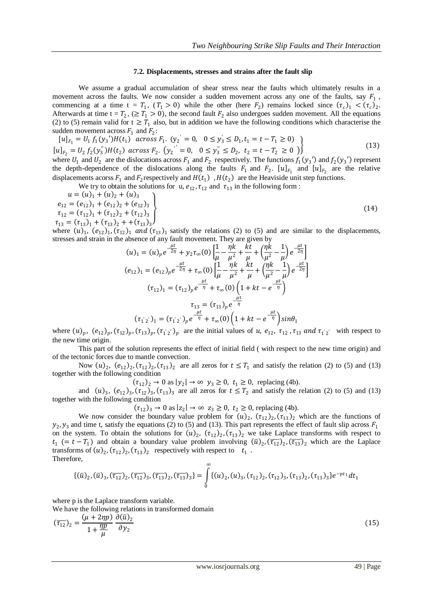#### **7.2. Displacements, stresses and strains after the fault slip**

We assume a gradual accumulation of shear stress near the faults which ultimately results in a movement across the faults. We now consider a sudden movement across any one of the faults, say  $F_1$ , commencing at a time  $t = T_1$ ,  $(T_1 > 0)$  while the other (here  $F_2$ ) remains locked since  $(\tau_c)_1 < (\tau_c)_2$ . Afterwards at time  $t = T_2$ , ( $\geq T_1 > 0$ ), the second fault  $F_2$  also undergoes sudden movement. All the equations (2) to (5) remain valid for  $t \geq T_1$  also, but in addition we have the following conditions which characterise the sudden movement across  $F_1$  and  $F_2$ :

$$
[u]_{F_1} = U_1 f_1(y_3')H(t_1) \quad \text{across } F_1. \ (y_2' = 0, \quad 0 \le y_3' \le D_1, t_1 = t - T_1 \ge 0) \tag{13}
$$
\n
$$
[u]_{F_2} = U_2 f_2(y_3')H(t_2) \quad \text{across } F_2. \ (y_2' = 0, \quad 0 \le y_3' \le D_2, \ t_2 = t - T_2 \ge 0 \text{ )}
$$

where  $U_1$  and  $U_2$  are the dislocations across  $F_1$  and  $F_2$  respectively. The functions  $f_1(y_3')$  and  $f_2(y_3')$  represent the depth-dependence of the dislocations along the faults  $F_1$  and  $F_2$ .  $[u]_{F_1}$  and  $[u]_{F_2}$  are the relative displacements acorss  $F_1$  and  $F_2$  respectively and  $H(t_1)$ ,  $H(t_2)$  are the Heaviside unit step functions.

We try to obtain the solutions for u,  $e_{12}$ ,  $\tau_{12}$  and  $\tau_{13}$  in the following form :

$$
u = (u)1 + (u)2 + (u)3
$$
  
\n
$$
e12 = (e12)1 + (e12)2 + (e12)3
$$
  
\n
$$
\tau12 = (\tau12)1 + (\tau12)2 + (\tau12)3
$$
  
\n
$$
\tau13 = (\tau13)1 + (\tau13)2 + (\tau13)3
$$
  
\n(14)  
\n
$$
u = (u)1 + (u)2 + (u)3
$$
  
\n
$$
\tau12 = (\tau13)1 + (\tau13)2 + (\tau13)3
$$

where  $(u)_1$ ,  $(e_{12})_1$ ,  $(\tau_{12})_1$  and  $(\tau_{13})_1$  satisfy the relations (2) to (5) and are similar to the displacements, stresses and strain in the absence of any fault movement. They are given by<br> $\mu t$   $\tau$   $\eta k$   $k$   $\tau$ 

$$
(u)_1 = (u)_p e^{-\frac{\mu t}{2\eta}} + y_2 \tau_{\infty}(0) \left[ \frac{1}{\mu} - \frac{\eta k}{\mu^2} + \frac{k t}{\mu} + \left( \frac{\eta k}{\mu^2} - \frac{1}{\mu} \right) e^{-\frac{\mu t}{2\eta}} \right]
$$
  
\n
$$
(e_{12})_1 = (e_{12})_p e^{-\frac{\mu t}{2\eta}} + \tau_{\infty}(0) \left[ \frac{1}{\mu} - \frac{\eta k}{\mu^2} + \frac{kt}{\mu} + \left( \frac{\eta k}{\mu^2} - \frac{1}{\mu} \right) e^{-\frac{\mu t}{2\eta}} \right]
$$
  
\n
$$
(\tau_{12})_1 = (\tau_{12})_p e^{-\frac{\mu t}{\eta}} + \tau_{\infty}(0) \left( 1 + kt - e^{-\frac{\mu t}{\eta}} \right)
$$
  
\n
$$
\tau_{13} = (\tau_{13})_p e^{-\frac{\mu t}{\eta}}
$$
  
\n
$$
(\tau_{12})_1 = (\tau_{12})_p e^{-\frac{\mu t}{\eta}} + \tau_{\infty}(0) \left( 1 + kt - e^{-\frac{\mu t}{\eta}} \right) \sin \theta_1
$$

where  $(u_p, (e_{12})_p, (\tau_{12})_p, (\tau_{13})_p, (\tau_{12})_p$  are the initial values of u,  $e_{12}, \tau_{12}, \tau_{13}$  and  $\tau_{12}$  with respect to the new time origin.

This part of the solution represents the effect of initial field ( with respect to the new time origin) and of the tectonic forces due to mantle convection.

Now  $(u)_2$ ,  $(e_{12})_2$ ,  $(\tau_{12})_2$ ,  $(\tau_{13})_2$  are all zeros for  $t \leq T_1$  and satisfy the relation (2) to (5) and (13) together with the following condition

 $(\tau_{12})_2 \rightarrow 0$  as  $|y_2| \rightarrow \infty$   $y_3 \ge 0$ ,  $t_1 \ge 0$ , replacing (4b).

and  $(u)_3$ ,  $(e_{12})_3$ ,  $(\tau_{12})_3$ ,  $(\tau_{13})_3$  are all zeros for  $t \leq T_2$  and satisfy the relation (2) to (5) and (13) together with the following condition

 $(\tau_{12})_3 \rightarrow 0$  as  $|z_2| \rightarrow \infty$   $z_3 \ge 0$ ,  $t_2 \ge 0$ , replacing (4b).

We now consider the boundary value problem for  $(u)_2$ ,  $(\tau_{12})_2$ ,  $(\tau_{13})_2$  which are the functions of  $y_2, y_3$  and time t, satisfy the equations (2) to (5) and (13). This part represents the effect of fault slip across  $F_1$ on the system. To obtain the solutions for  $(u)_2$ ,  $(\tau_{12})_2$ ,  $(\tau_{13})_2$  we take Laplace transforms with respect to  $t_1$  (=  $t - T_1$ ) and obtain a boundary value problem involving  $(\bar{u})_2, (\bar{\tau}_{12})_2, (\bar{\tau}_{13})_2$  which are the Laplace transforms of  $(u)_2$ ,  $(\tau_{12})_2$ ,  $(\tau_{13})_2$  respectively with respect to  $t_1$ . Therefore,

$$
\{(\overline{u})_2, (\overline{u})_3, (\overline{\tau_{12}})_2, (\overline{\tau_{12}})_3, (\overline{\tau_{13}})_2, (\overline{\tau_{13}})_3\} = \int\limits_0^\infty \{(u)_2, (u)_3, (\tau_{12})_2, (\tau_{12})_3, (\tau_{13})_2, (\tau_{13})_3\}e^{-pt_1}dt_1
$$

where p is the Laplace transform variable.

We have the following relations in transformed domain

$$
(\overline{\tau_{12}})_2 = \frac{(\mu + 2\eta p)}{1 + \frac{\eta p}{\mu}} \frac{\partial(\overline{u})_2}{\partial y_2}
$$
(15)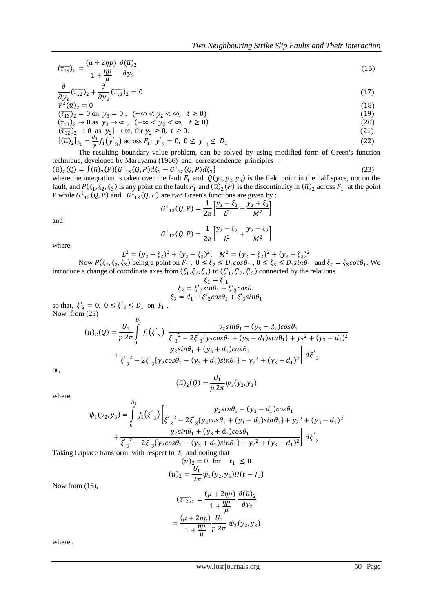$$
(\overline{\tau}_{13})_2 = \frac{(\mu + 2\eta p)}{1 + \frac{\eta p}{\mu}} \frac{\partial(\overline{u})_2}{\partial y_3}
$$
(16)

$$
\frac{\partial}{\partial y_2} (\overline{\tau_{12}})_2 + \frac{\partial}{\partial y_3} (\overline{\tau_{13}})_2 = 0 \tag{17}
$$

$$
\nabla^2 (\bar{u})_2 = 0
$$
\n(18)\n
$$
(\bar{\tau}_{13})_2 = 0 \text{ on } y_3 = 0, \quad (-\infty < y_2 < \infty, \quad t \ge 0)
$$
\n(19)

$$
(\overline{t}_{13})_2 - 0 \text{ on } y_3 = 0, \quad (-\infty < y_2 < \infty, \quad t \ge 0)
$$
  
\n
$$
(\overline{t}_{13})_2 \to 0 \text{ as } y_3 \to \infty, \quad (-\infty < y_2 < \infty, \quad t \ge 0)
$$
\n(20)

$$
(\overline{\tau_{12}})_2 \to 0 \text{ as } |y_2| \to \infty, \text{ for } y_2 \ge 0, \ t \ge 0.
$$
 (21)

$$
[(\bar{u})_2]_{F_1} = \frac{v_1}{p} f_1(y'_3) \arccos F_1; \ y'_2 = 0, \ 0 \le y'_3 \le D_1 \tag{22}
$$

The resulting boundary value problem, can be solved by using modified form of Green's function technique, developed by Maruyama (1966) and correspondence principles :

 $(\bar{u})_2(Q) = \int (\bar{u})_2(P) \{G^1_{13}(Q, P) d\xi_2 - G^1_{12}(Q, P) d\xi_3\}$  $\{23\}$ where the integration is taken over the fault  $F_1$  and  $Q(y_1, y_2, y_3)$  is the field point in the half space, not on the fault, and  $P(\xi_1, \xi_2, \xi_3)$  is any point on the fault  $F_1$  and  $(\bar{u})_2(P)$  is the discontinuity in  $(\bar{u})_2$  across  $F_1$  at the point P while  $G_{13}^1(Q, P)$  and  $G_{12}^1(Q, P)$  are two Green's functions are given by :

$$
G_{13}^1(Q, P) = \frac{1}{2\pi} \left[ \frac{y_3 - \xi_3}{L^2} - \frac{y_3 + \xi_3}{M^2} \right]
$$

and

$$
G_{12}^1(Q, P) = \frac{1}{2\pi} \left[ \frac{y_2 - \xi_2}{L^2} + \frac{y_2 - \xi_2}{M^2} \right]
$$

where,

$$
L^{2} = (y_{2} - \xi_{2})^{2} + (y_{3} - \xi_{3})^{2}, \quad M^{2} = (y_{2} - \xi_{2})^{2} + (y_{3} + \xi_{3})^{2}
$$
  
 
$$
P(\xi, \xi_{2}, \xi_{3})
$$
 being a point on  $E$ ,  $0 \le \xi_{3} \le D$ ,  $\cos \theta$ ,  $0 \le \xi_{3} \le D$ ,  $\sin \theta$ , and  $\xi_{3}$ 

Now  $P(\xi_1, \xi_2, \xi_3)$  being a point on  $F_1$ ,  $0 \le \xi_2 \le D_1 \cos \theta_1$ ,  $0 \le \xi_3 \le D_1 \sin \theta_1$  and  $\xi_2 = \xi_3 \cot \theta_1$ . We introduce a change of coordinate axes from  $(\xi_1, \xi_2, \xi_3)$  to  $(\xi'_1, \xi'_2, \xi'_3)$  connected by the relations

$$
\begin{aligned}\n\xi_1 &= \xi'_1\\ \n\xi_2 &= \xi'_2 \sin\theta_1 + \xi'_3 \cos\theta_1\\ \n\xi_3 &= d_1 - \xi'_2 \cos\theta_1 + \xi'_3 \sin\theta_1\n\end{aligned}
$$

so that,  $\xi'_2 = 0$ ,  $0 \le \xi'_3 \le D_1$  on  $F_1$ . Now from (23)  $\overline{D}_4$ 

$$
(\bar{u})_2(Q) = \frac{U_1}{p \ 2\pi} \int_{0}^{L_1} f_1(\xi'_3) \left[ \frac{y_2 \sin\theta_1 - (y_3 - d_1)\cos\theta_1}{\xi'_3^2 - 2\xi'_3 \{y_2 \cos\theta_1 + (y_3 - d_1)\sin\theta_1\} + y_2^2 + (y_3 - d_1)^2} + \frac{y_2 \sin\theta_1 + (y_3 + d_1)\cos\theta_1}{\xi'_3^2 - 2\xi'_3 \{y_2 \cos\theta_1 - (y_3 + d_1)\sin\theta_1\} + y_2^2 + (y_3 + d_1)^2} \right] d\xi'_3
$$

or,

$$
(\bar{u})_2(Q) = \frac{U_1}{p \ 2\pi} \psi_1(y_2, y_3)
$$

where,

$$
\psi_1(y_2, y_3) = \int_0^{D_1} f_1(\xi'_3) \left[ \frac{y_2 \sin \theta_1 - (y_3 - d_1) \cos \theta_1}{\xi'_3^2 - 2\xi'_3 \{y_2 \cos \theta_1 + (y_3 - d_1) \sin \theta_1\} + y_2^2 + (y_3 - d_1)^2} + \frac{y_2 \sin \theta_1 + (y_3 + d_1) \cos \theta_1}{\xi'_3^2 - 2\xi'_3 \{y_2 \cos \theta_1 - (y_3 + d_1) \sin \theta_1\} + y_2^2 + (y_3 + d_1)^2} \right] d\xi'_3
$$
\nace transform with respect to  $t_3$  and noting that

Taking Laplace transform with re  $\begin{array}{ccc} \n\begin{array}{ccc} \n\frac{1}{2} & \text{and noting that} \\
\frac{1}{2} & -\frac{1}{2} & \text{for } t & \text{if } t \n\end{array} \n\end{array}$ 

$$
(u)_2 = \frac{U_1}{2\pi} \psi_1(y_2, y_3) H(t - T_1)
$$

Now from (15),

$$
(\overline{\tau_{12}})_2 = \frac{(\mu + 2\eta p)}{1 + \frac{\eta p}{\mu}} \frac{\partial(\overline{u})_2}{\partial y_2}
$$

$$
= \frac{(\mu + 2\eta p)}{1 + \frac{\eta p}{\mu}} \frac{U_1}{p \ 2\pi} \ \psi_2(y_2, y_3)
$$

where ,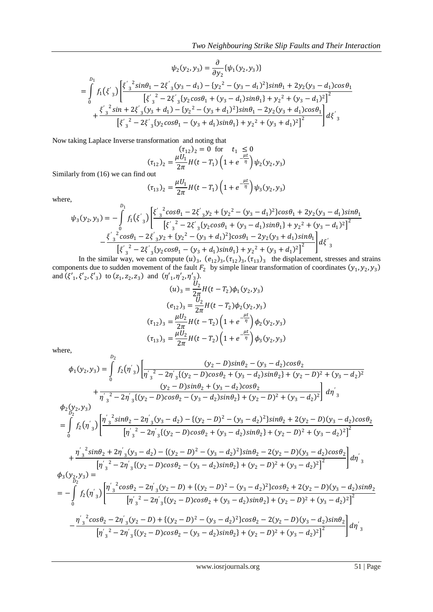$$
\psi_2(y_2, y_3) = \frac{\partial}{\partial y_2} \{\psi_1(y_2, y_3)\}
$$
  
= 
$$
\int_0^{D_1} f_1(\xi'_3) \left[ \frac{\xi'_3{}^2 \sin \theta_1 - 2\xi'_3(y_3 - d_1) - \{y_2^2 - (y_3 - d_1)^2\} \sin \theta_1 + 2y_2(y_3 - d_1)\cos \theta_1}{\left[\xi'_3{}^2 - 2\xi'_3\{y_2\cos \theta_1 + (y_3 - d_1)\sin \theta_1\} + y_2{}^2 + (y_3 - d_1)^2\right]^2} + \frac{\xi'_3{}^2 \sin + 2\xi'_3(y_3 + d_1) - \{y_2^2 - (y_3 + d_1)^2\} \sin \theta_1 - 2y_2(y_3 + d_1)\cos \theta_1}{\left[\xi'_3{}^2 - 2\xi'_3\{y_2\cos \theta_1 - (y_3 + d_1)\sin \theta_1\} + y_2{}^2 + (y_3 + d_1)^2\right]^2} d\xi'_3
$$

Now taking Laplace Inverse transformation and noting that

$$
(\tau_{12})_2 = 0 \text{ for } t_1 \le 0
$$
  

$$
(\tau_{12})_2 = \frac{\mu U_1}{2\pi} H(t - T_1) \left(1 + e^{-\frac{\mu t}{\eta}}\right) \psi_2(y_2, y_3)
$$

Similarly from (16) we can find out

$$
(\tau_{13})_2 = \frac{\mu U_1}{2\pi} H(t - T_1) \left( 1 + e^{-\frac{\mu t}{\eta}} \right) \psi_3(y_2, y_3)
$$

where,

$$
\psi_3(y_2, y_3) = -\int_0^{b_1} f_1(\xi'_3) \left[ \frac{\xi'_3{}^2 \cos\theta_1 - 2\xi'_3 y_2 + \{y_2^2 - (y_3 - d_1)^2\} \cos\theta_1 + 2y_2 (y_3 - d_1) \sin\theta_1}{[\xi'_3{}^2 - 2\xi'_3 \{y_2 \cos\theta_1 + (y_3 - d_1) \sin\theta_1\} + y_2{}^2 + (y_3 - d_1)^2]^2} - \frac{\xi'_3{}^2 \cos\theta_1 - 2\xi'_3 y_2 + \{y_2^2 - (y_3 + d_1)^2\} \cos\theta_1 - 2y_2 (y_3 + d_1) \sin\theta_1}{[\xi'_3{}^2 - 2\xi'_3 \{y_2 \cos\theta_1 - (y_3 + d_1)^2\} + y_2{}^2 + (y_3 + d_1)^2]^2} \right] d\xi'_3
$$
\nIn the similar way, we assume that  $(x)$ ,  $(x)$ ,  $(x)$ ,  $(x)$ , the displacement process and

In the similar way, we can compute  $(u)_3$ ,  $(e_{12})_3$ ,  $(\tau_{12})_3$ ,  $(\tau_{13})_3$  the displacement, stresses and strains components due to sudden movement of the fault  $F_2$  by simple linear transformation of coordinates  $(y_1, y_2, y_3)$ and  $(\xi'_1, \xi'_2, \xi'_3)$  to  $(z_1, z_2, z_3)$  and  $(\eta'_1, \eta'_2, \eta'_3)$ .

$$
(u)_3 = \frac{U_2}{2\pi} H(t - T_2)\phi_1(y_2, y_3)
$$
  
\n
$$
(e_{12})_3 = \frac{U_2}{2\pi} H(t - T_2)\phi_2(y_2, y_3)
$$
  
\n
$$
(\tau_{12})_3 = \frac{\mu U_2}{2\pi} H(t - T_2) \left(1 + e^{-\frac{\mu t}{\eta}}\right) \phi_2(y_2, y_3)
$$
  
\n
$$
(\tau_{13})_3 = \frac{\mu U_2}{2\pi} H(t - T_2) \left(1 + e^{-\frac{\mu t}{\eta}}\right) \phi_3(y_2, y_3)
$$

where,

where,  
\n
$$
\phi_1(y_2, y_3) = \int_0^{D_2} f_2(\eta'_3) \left[ \frac{(y_2 - D)sin\theta_2 - (y_3 - d_2)cos\theta_2}{\eta'_3^2 - 2\eta'_3^2(y_2 - D)cos\theta_2 + (y_3 - d_2)sin\theta_2} + \frac{(y_2 - D)sin\theta_2 + (y_3 - d_2)sin\theta_2 + (y_2 - D)^2 + (y_3 - d_2)^2}{\eta'_3^2 - 2\eta'_3^2(y_2 - D)cos\theta_2 - (y_3 - d_2)sin\theta_2} + \frac{(y_2 - D)sin\theta_2 + (y_3 - d_2)cos\theta_2}{\eta'_3^2 - 2\eta'_3^2(y_2 - D)cos\theta_2 - (y_3 - d_2)sin\theta_2} + \frac{(y_2 - D)^2 + (y_3 - d_2)^2}{\eta'_3^2 - 2\eta'_3^2(y_2 - D)cos\theta_2 + (y_3 - d_2)sin\theta_2} + \frac{2(y_2 - D)(y_3 - d_2)cos\theta_2}{\eta'_3^2 - 2\eta'_3^2(y_2 - D)cos\theta_2 + (y_3 - d_2)sin\theta_2} + \frac{(y_2 - D)^2 + (y_3 - d_2)^2}{\eta'_3^2 - 2\eta'_3^2(y_2 - D)cos\theta_2 - (y_3 - d_2)sin\theta_2} + \frac{(y_2 - D)^2 + (y_3 - d_2)^2}{\eta'_3^2 - 2\eta'_3^2(y_2 - D)cos\theta_2 - (y_3 - d_2)sin\theta_2} + \frac{(y_2 - D)^2 + (y_3 - d_2)^2}{\eta'_3^2} \right] d\eta'_3
$$
\n
$$
\phi_3(y_{\frac{2}{3},\frac{1}{2}}) = -\int_0^1 f_2(\eta'_3) \left[ \frac{\eta'_3^2 cos\theta_2 - 2\eta'_3(y_2 - D) + \{(y_2 - D)^2 - (y_3 - d_2)^2\}cos\theta_2 + 2(y_2 - D)(y_3 - d_2)sin\theta_2}{\eta'_3^2 - 2\eta'_3^2(y_2 - D)cos\theta_2 + (y_3 - d_2)sin\theta_2} + (y_2 - D)^2 + (y_3 - d
$$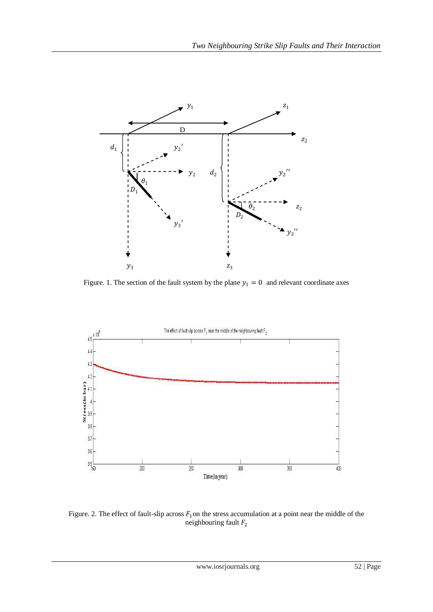

Figure. 1. The section of the fault system by the plane  $y_1 = 0$  and relevant coordinate axes



Figure. 2. The effect of fault-slip across  $F_1$  on the stress accumulation at a point near the middle of the neighbouring fault  $F_2$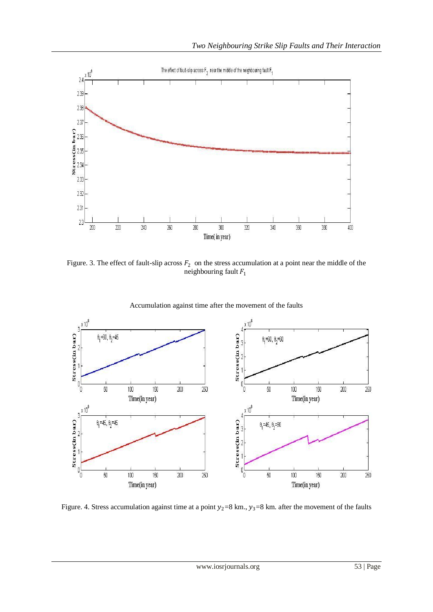

Figure. 3. The effect of fault-slip across  $F_2$  on the stress accumulation at a point near the middle of the neighbouring fault  $F_1$ 



Accumulation against time after the movement of the faults

Figure. 4. Stress accumulation against time at a point  $y_2=8$  km.,  $y_3=8$  km. after the movement of the faults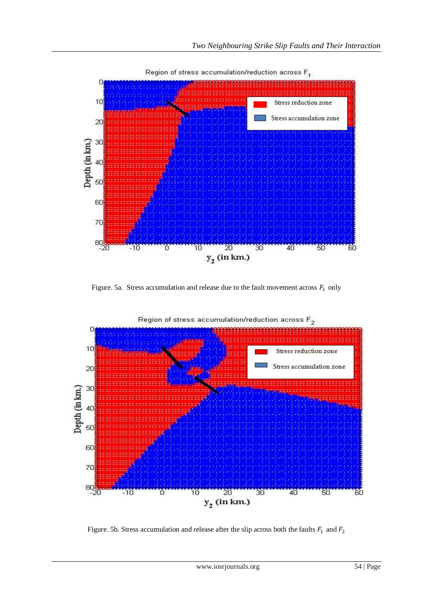

Region of stress accumulation/reduction across F<sub>1</sub>

Figure. 5a. Stress accumulation and release due to the fault movement across  $F_1$  only



Figure. 5b. Stress accumulation and release after the slip across both the faults  $F_1$  and  $F_2$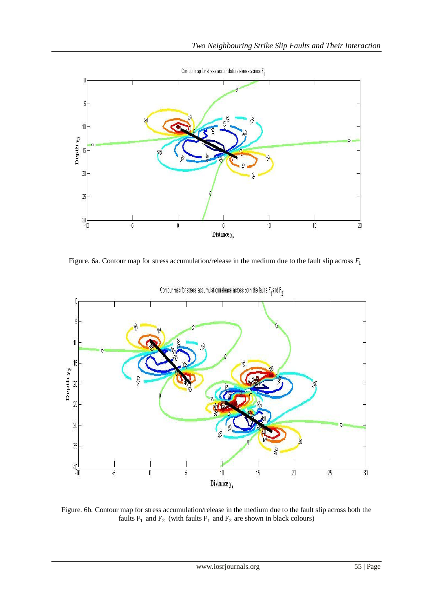

Figure. 6a. Contour map for stress accumulation/release in the medium due to the fault slip across  $F_1$ 



Contour map for stress accumulation/release across both the faults  $F_4$  and  $F_5$ 

Figure. 6b. Contour map for stress accumulation/release in the medium due to the fault slip across both the faults  $F_1$  and  $F_2$  (with faults  $F_1$  and  $F_2$  are shown in black colours)